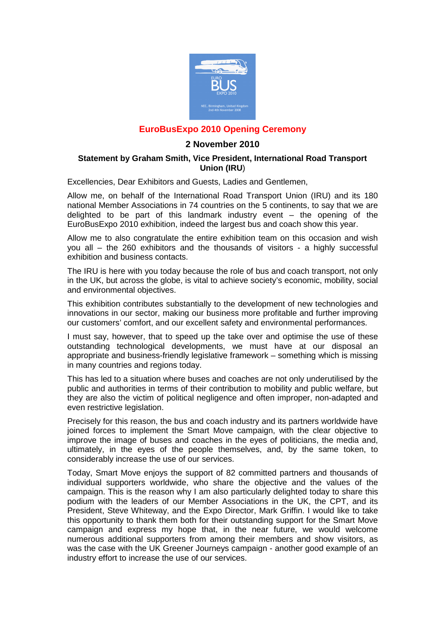

## **EuroBusExpo 2010 Opening Ceremony**

## **2 November 2010**

## **Statement by Graham Smith, Vice President, International Road Transport Union (IRU**)

Excellencies, Dear Exhibitors and Guests, Ladies and Gentlemen,

Allow me, on behalf of the International Road Transport Union (IRU) and its 180 national Member Associations in 74 countries on the 5 continents, to say that we are delighted to be part of this landmark industry event – the opening of the EuroBusExpo 2010 exhibition, indeed the largest bus and coach show this year.

Allow me to also congratulate the entire exhibition team on this occasion and wish you all – the 260 exhibitors and the thousands of visitors - a highly successful exhibition and business contacts.

The IRU is here with you today because the role of bus and coach transport, not only in the UK, but across the globe, is vital to achieve society's economic, mobility, social and environmental objectives.

This exhibition contributes substantially to the development of new technologies and innovations in our sector, making our business more profitable and further improving our customers' comfort, and our excellent safety and environmental performances.

I must say, however, that to speed up the take over and optimise the use of these outstanding technological developments, we must have at our disposal an appropriate and business-friendly legislative framework – something which is missing in many countries and regions today.

This has led to a situation where buses and coaches are not only underutilised by the public and authorities in terms of their contribution to mobility and public welfare, but they are also the victim of political negligence and often improper, non-adapted and even restrictive legislation.

Precisely for this reason, the bus and coach industry and its partners worldwide have joined forces to implement the Smart Move campaign, with the clear objective to improve the image of buses and coaches in the eyes of politicians, the media and, ultimately, in the eyes of the people themselves, and, by the same token, to considerably increase the use of our services.

Today, Smart Move enjoys the support of 82 committed partners and thousands of individual supporters worldwide, who share the objective and the values of the campaign. This is the reason why I am also particularly delighted today to share this podium with the leaders of our Member Associations in the UK, the CPT, and its President, Steve Whiteway, and the Expo Director, Mark Griffin. I would like to take this opportunity to thank them both for their outstanding support for the Smart Move campaign and express my hope that, in the near future, we would welcome numerous additional supporters from among their members and show visitors, as was the case with the UK Greener Journeys campaign - another good example of an industry effort to increase the use of our services.